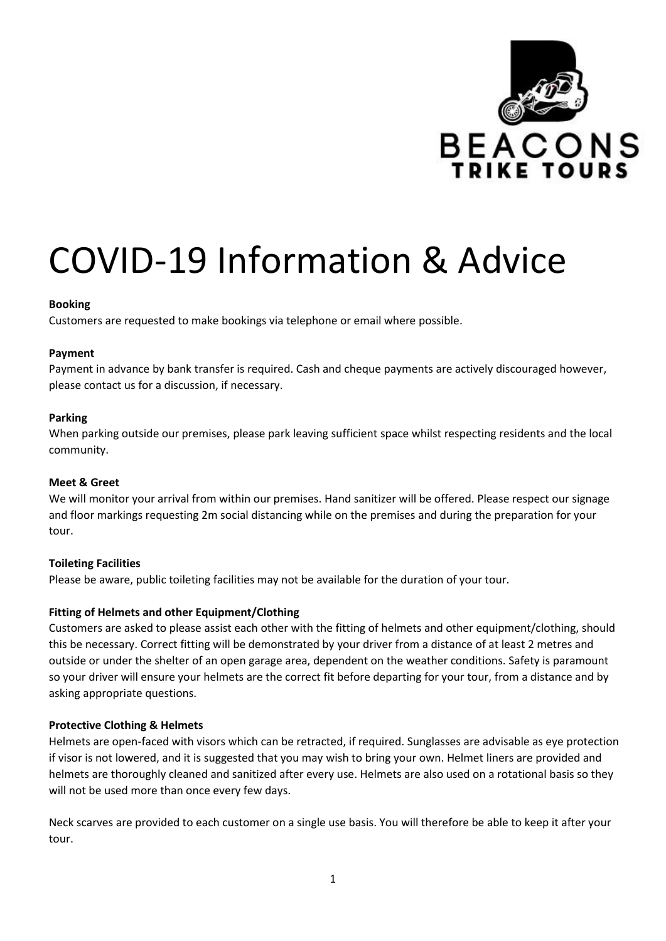

# COVID-19 Information & Advice

# **Booking**

Customers are requested to make bookings via telephone or email where possible.

# **Payment**

Payment in advance by bank transfer is required. Cash and cheque payments are actively discouraged however, please contact us for a discussion, if necessary.

# **Parking**

When parking outside our premises, please park leaving sufficient space whilst respecting residents and the local community.

#### **Meet & Greet**

We will monitor your arrival from within our premises. Hand sanitizer will be offered. Please respect our signage and floor markings requesting 2m social distancing while on the premises and during the preparation for your tour.

# **Toileting Facilities**

Please be aware, public toileting facilities may not be available for the duration of your tour.

# **Fitting of Helmets and other Equipment/Clothing**

Customers are asked to please assist each other with the fitting of helmets and other equipment/clothing, should this be necessary. Correct fitting will be demonstrated by your driver from a distance of at least 2 metres and outside or under the shelter of an open garage area, dependent on the weather conditions. Safety is paramount so your driver will ensure your helmets are the correct fit before departing for your tour, from a distance and by asking appropriate questions.

# **Protective Clothing & Helmets**

Helmets are open-faced with visors which can be retracted, if required. Sunglasses are advisable as eye protection if visor is not lowered, and it is suggested that you may wish to bring your own. Helmet liners are provided and helmets are thoroughly cleaned and sanitized after every use. Helmets are also used on a rotational basis so they will not be used more than once every few days.

Neck scarves are provided to each customer on a single use basis. You will therefore be able to keep it after your tour.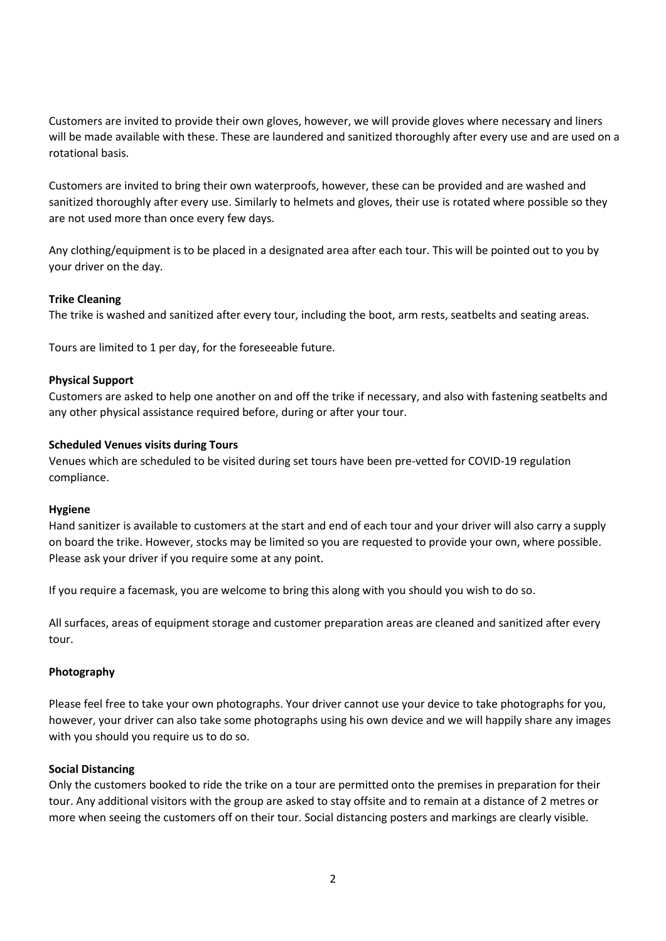Customers are invited to provide their own gloves, however, we will provide gloves where necessary and liners will be made available with these. These are laundered and sanitized thoroughly after every use and are used on a rotational basis.

Customers are invited to bring their own waterproofs, however, these can be provided and are washed and sanitized thoroughly after every use. Similarly to helmets and gloves, their use is rotated where possible so they are not used more than once every few days.

Any clothing/equipment is to be placed in a designated area after each tour. This will be pointed out to you by your driver on the day.

#### **Trike Cleaning**

The trike is washed and sanitized after every tour, including the boot, arm rests, seatbelts and seating areas.

Tours are limited to 1 per day, for the foreseeable future.

# **Physical Support**

Customers are asked to help one another on and off the trike if necessary, and also with fastening seatbelts and any other physical assistance required before, during or after your tour.

# **Scheduled Venues visits during Tours**

Venues which are scheduled to be visited during set tours have been pre-vetted for COVID-19 regulation compliance.

#### **Hygiene**

Hand sanitizer is available to customers at the start and end of each tour and your driver will also carry a supply on board the trike. However, stocks may be limited so you are requested to provide your own, where possible. Please ask your driver if you require some at any point.

If you require a facemask, you are welcome to bring this along with you should you wish to do so.

All surfaces, areas of equipment storage and customer preparation areas are cleaned and sanitized after every tour.

# **Photography**

Please feel free to take your own photographs. Your driver cannot use your device to take photographs for you, however, your driver can also take some photographs using his own device and we will happily share any images with you should you require us to do so.

#### **Social Distancing**

Only the customers booked to ride the trike on a tour are permitted onto the premises in preparation for their tour. Any additional visitors with the group are asked to stay offsite and to remain at a distance of 2 metres or more when seeing the customers off on their tour. Social distancing posters and markings are clearly visible.